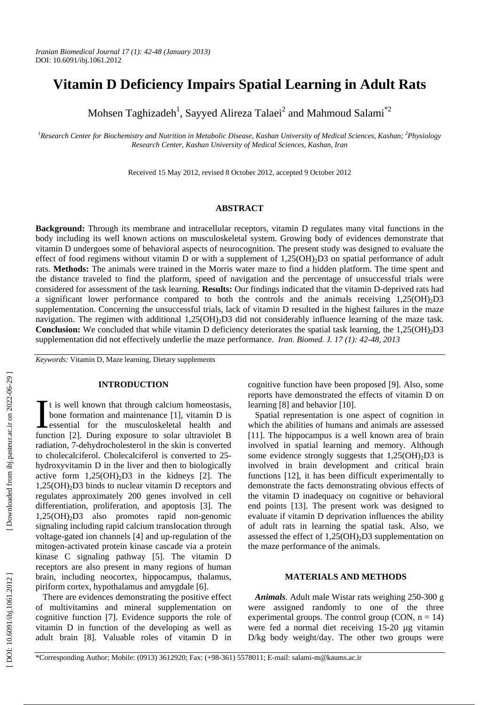# **Vitamin D Deficiency Impairs Spatial Learning in Adult Rats**

Mohsen Taghizadeh<sup>1</sup>, Sayyed Alireza Talaei<sup>2</sup> and Mahmoud Salami<sup>\*2</sup>

<sup>1</sup> Research Center for Biochemistry and Nutrition in Metabolic Disease, Kashan University of Medical Sciences, Kashan; <sup>2</sup>Physiology *Research Center, Kashan University of Medical Sciences, Kashan, Iran* 

Received 15 May 2012, revised 8 October 2012, accepted 9 October 2012

# **ABSTRACT**

**Background:** Through its membrane and intracellular receptors, vitamin D regulates many vital functions in the body including its well known actions on musculoskeletal system. Growing body of evidences demonstrate that vitamin D undergoes some of behavioral aspects of neurocognition. The present study was designed to evaluate the effect of food regimens without vitamin D or with a supplement of 1,25(OH)<sub>2</sub>D3 on spatial performance of adult rats. **Methods:** The animals were trained in the Morris water maze to find a hidden platform. The time spent and the distance traveled to find the platform, speed of navigation and the percentage of unsuccessful trials were considered for assessment of the task learning. **Results:** Our findings indicated that the vitamin D-deprived rats had a significant lower performance compared to both the controls and the animals receiving 1,25(OH) 2D3 supplementation. Concerning the unsuccessful trials, lack of vitamin D resulted in the highest failures in the maze navigation. The regimen with additional 1,25(OH)<sub>2</sub>D3 did not considerably influence learning of the maze task. **Conclusion:** We concluded that while vitamin D deficiency deteriorates the spatial task learning, the 1,25(OH) 2D3 supplementation did not effectively underlie the maze performance. *Iran. Biomed. J. 17 (1): 42-48, 2013*

*Keywords:* Vitamin D, Maze learning, Dietary supplements

#### **INTRODUCTION**

t is well known that through calcium homeostasis, bone formation and maintenance [1], vitamin D is It is well known that through calcium homeostasis,<br>bone formation and maintenance [1], vitamin D is<br>essential for the musculoskeletal health and<br>function  $\begin{bmatrix} 21 \\ 21 \end{bmatrix}$  During exposure to solar ultraviolet B function [2]. During exposure to solar ultraviolet B radiation, 7-dehydrocholesterol in the skin is converted to cholecalciferol. Cholecalciferol is converted to 25 hydroxyvitamin D in the liver and then to biologically active form  $1,25(OH)_2D3$  in the kidneys [2]. The 1,25(OH) 2D3 binds to nuclear vitamin D receptors and regulates approximately 200 genes involved in cell differentiation, proliferation, and apoptosis [3]. The 1,25(OH) 2D3 also promotes rapid non-genomic signaling including rapid calcium translocation through voltage-gated ion channels [4] and up-regulation of the mitogen-activated protein kinase cascade via a protein kinase C signaling pathway [5]. The vitamin D receptors are also present in many regions of human brain, including neocortex, hippocampus, thalamus, piriform cortex, hypothalamus and amygdale [6].

There are evidences demonstrating the positive effect of multivitamins and mineral supplementation on cognitive function [7]. Evidence supports the role of vitamin D in function of the developing as well as adult brain [8]. Valuable roles of vitamin D in

cognitive function have been proposed [9]. Also, some reports have demonstrated the effects of vitamin D on learning [8] and behavior [10].

Spatial representation is one aspect of cognition in which the abilities of humans and animals are assessed [11]. The hippocampus is a well known area of brain involved in spatial learning and memory. Although some evidence strongly suggests that 1,25(OH) 2D3 is involved in brain development and critical brain functions [12], it has been difficult experimentally to demonstrate the facts demonstrating obvious effects of the vitamin D inadequacy on cognitive or behavioral end points [13]. The present work was designed to evaluate if vitamin D deprivation influences the ability of adult rats in learning the spatial task. Also, we assessed the effect of 1,25(OH) 2D3 supplementation on the maze performance of the animals.

# **MATERIALS AND METHODS**

*Animals.* Adult male Wistar rats weighing 250-300 g were assigned randomly to one of the three experimental groups. The control group (CON,  $n = 14$ ) were fed a normal diet receiving 15-20 µg vitamin D/kg body weight/day. The other two groups were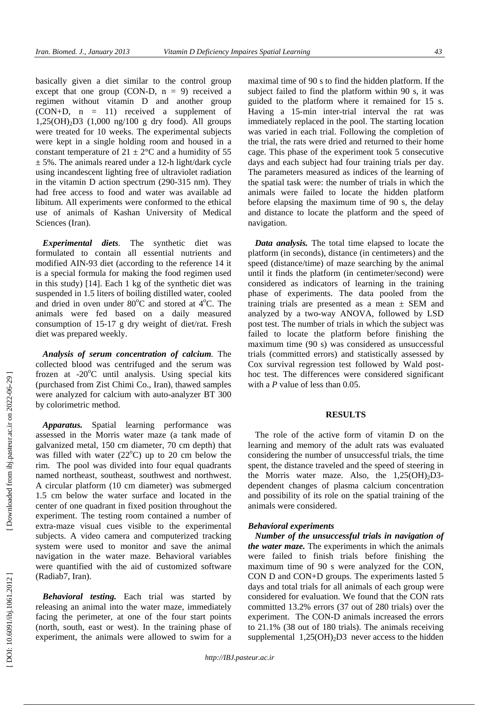basically given a diet similar to the control group except that one group (CON-D,  $n = 9$ ) received a regimen without vitamin D and another group (CON+D, n = 11) received a supplement of 1,25(OH) 2D3 (1,000 ng/100 g dry food). All groups were treated for 10 weeks. The experimental subjects were kept in a single holding room and housed in a constant temperature of  $21 \pm 2$ °C and a humidity of 55  $\pm$  5%. The animals reared under a 12-h light/dark cycle using incandescent lighting free of ultraviolet radiation in the vitamin D action spectrum (290-315 nm). They had free access to food and water was available ad libitum. All experiments were conformed to the ethical use of animals of Kashan University of Medical Sciences (Iran).

*Experimental diets.* The synthetic diet was formulated to contain all essential nutrients and modified AIN-93 diet (according to the reference 14 it is a special formula for making the food regimen used in this study) [14]. Each 1 kg of the synthetic diet was suspended in 1.5 liters of boiling distilled water, cooled and dried in oven under  $80^{\circ}$ C and stored at  $4^{\circ}$ C. The animals were fed based on a daily measured consumption of 15-17 g dry weight of diet/rat. Fresh diet was prepared weekly.

*Analysis of serum concentration of calcium.* The collected blood was centrifuged and the serum was frozen at -20°C until analysis. Using special kits (purchased from Zist Chimi Co., Iran), thawed samples were analyzed for calcium with auto-analyzer BT 300 by colorimetric method.

*Apparatus.* Spatial learning performance was assessed in the Morris water maze (a tank made of galvanized metal, 150 cm diameter, 70 cm depth) that was filled with water  $(22^{\circ}C)$  up to 20 cm below the rim. The pool was divided into four equal quadrants named northeast, southeast, southwest and northwest. A circular platform (10 cm diameter) was submerged 1.5 cm below the water surface and located in the center of one quadrant in fixed position throughout the experiment. The testing room contained a number of extra-maze visual cues visible to the experimental subjects. A video camera and computerized tracking system were used to monitor and save the animal navigation in the water maze. Behavioral variables were quantified with the aid of customized software (Radiab7, Iran).

*Behavioral testing.* Each trial was started by releasing an animal into the water maze, immediately facing the perimeter, at one of the four start points (north, south, east or west). In the training phase of experiment, the animals were allowed to swim for a

maximal time of 90 s to find the hidden platform. If the subject failed to find the platform within 90 s, it was guided to the platform where it remained for 15 s. Having a 15-min inter-trial interval the rat was immediately replaced in the pool. The starting location was varied in each trial. Following the completion of the trial, the rats were dried and returned to their home cage. This phase of the experiment took 5 consecutive days and each subject had four training trials per day. The parameters measured as indices of the learning of the spatial task were: the number of trials in which the animals were failed to locate the hidden platform before elapsing the maximum time of 90 s, the delay and distance to locate the platform and the speed of navigation.

*Data analysis.* The total time elapsed to locate the platform (in seconds), distance (in centimeters) and the speed (distance/time) of maze searching by the animal until it finds the platform (in centimeter/second) were considered as indicators of learning in the training phase of experiments. The data pooled from the training trials are presented as a mean  $\pm$  SEM and analyzed by a two-way ANOVA, followed by LSD post test. The number of trials in which the subject was failed to locate the platform before finishing the maximum time (90 s) was considered as unsuccessful trials (committed errors) and statistically assessed by Cox survival regression test followed by Wald posthoc test. The differences were considered significant with a *P* value of less than 0.05.

## **RESULTS**

The role of the active form of vitamin D on the learning and memory of the adult rats was evaluated considering the number of unsuccessful trials, the time spent, the distance traveled and the speed of steering in the Morris water maze. Also, the 1,25(OH) 2D3 dependent changes of plasma calcium concentration and possibility of its role on the spatial training of the animals were considered.

## *Behavioral experiments*

*Number of the unsuccessful trials in navigation of the water maze.* The experiments in which the animals were failed to finish trials before finishing the maximum time of 90 s were analyzed for the CON, CON D and CON+D groups. The experiments lasted 5 days and total trials for all animals of each group were considered for evaluation. We found that the CON rats committed 13.2% errors (37 out of 280 trials) over the experiment. The CON-D animals increased the errors to 21.1% (38 out of 180 trials). The animals receiving supplemental  $1,25(OH)_2D3$  never access to the hidden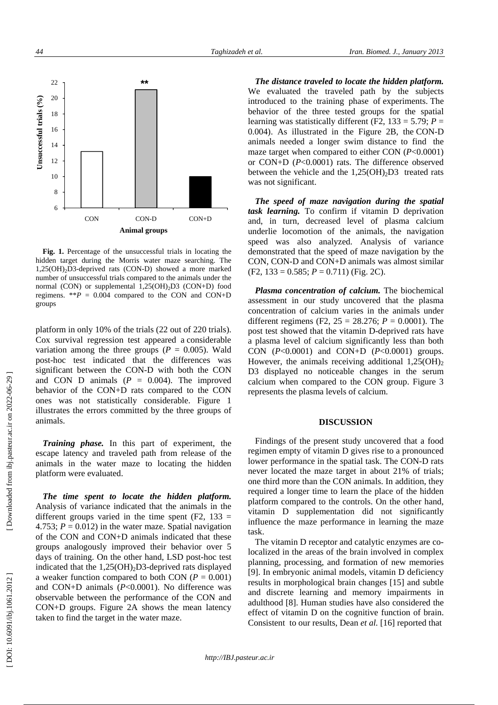

 **Fig. 1.** Percentage of the unsuccessful trials in locating the hidden target during the Morris water maze searching. The 1,25(OH) 2D3-deprived rats (CON-D) showed a more marked number of unsuccessful trials compared to the animals under the normal (CON) or supplemental 1,25(OH) 2D3 (CON+D) food regimens.  $*P = 0.004$  compared to the CON and CON+D groups

platform in only 10% of the trials (22 out of 220 trials). Cox survival regression test appeared a considerable variation among the three groups ( $P = 0.005$ ). Wald post-hoc test indicated that the differences was significant between the CON-D with both the CON and CON D animals  $(P = 0.004)$ . The improved behavior of the CON+D rats compared to the CON ones was not statistically considerable. Figure 1 illustrates the errors committed by the three groups of animals.

*Training phase.* In this part of experiment, the escape latency and traveled path from release of the animals in the water maze to locating the hidden platform were evaluated.

*The time spent to locate the hidden platform.* Analysis of variance indicated that the animals in the different groups varied in the time spent  $(F2, 133)$  = 4.753;  $P = 0.012$ ) in the water maze. Spatial navigation of the CON and CON+D animals indicated that these groups analogously improved their behavior over 5 days of training. On the other hand, LSD post-hoc test indicated that the 1,25(OH) 2D3-deprived rats displayed a weaker function compared to both CON  $(P = 0.001)$ and CON+D animals ( *P*<0.0001). No difference was observable between the performance of the CON and CON+D groups. Figure 2A shows the mean latency taken to find the target in the water maze.

*The distance traveled to locate the hidden platform.*  We evaluated the traveled path by the subjects introduced to the training phase of experiments. The behavior of the three tested groups for the spatial learning was statistically different (F2,  $133 = 5.79$ ;  $P =$ 0.004). As illustrated in the Figure 2B, the CON-D animals needed a longer swim distance to find the maze target when compared to either CON ( *P*<0.0001) or CON+D ( *P*<0.0001) rats. The difference observed between the vehicle and the  $1,25(OH)_2D3$  treated rats was not significant.

*The speed of maze navigation during the spatial task learning.* To confirm if vitamin D deprivation and, in turn, decreased level of plasma calcium underlie locomotion of the animals, the navigation speed was also analyzed. Analysis of variance demonstrated that the speed of maze navigation by the CON, CON-D and CON+D animals was almost similar  $(F2, 133 = 0.585; P = 0.711)$  (Fig. 2C).

*Plasma concentration of calcium.* The biochemical assessment in our study uncovered that the plasma concentration of calcium varies in the animals under different regimens (F2,  $25 = 28.276$ ;  $P = 0.0001$ ). The post test showed that the vitamin D-deprived rats have a plasma level of calcium significantly less than both CON ( *P*<0.0001) and CON+D ( *P*<0.0001) groups. However, the animals receiving additional  $1,25(OH)_2$ D3 displayed no noticeable changes in the serum calcium when compared to the CON group. Figure 3 represents the plasma levels of calcium.

#### **DISCUSSION**

Findings of the present study uncovered that a food regimen empty of vitamin D gives rise to a pronounced lower performance in the spatial task. The CON-D rats never located the maze target in about 21% of trials; one third more than the CON animals. In addition, they required a longer time to learn the place of the hidden platform compared to the controls. On the other hand, vitamin D supplementation did not significantly influence the maze performance in learning the maze task.

The vitamin D receptor and catalytic enzymes are colocalized in the areas of the brain involved in complex planning, processing, and formation of new memories [9]. In embryonic animal models, vitamin D deficiency results in morphological brain changes [15] and subtle and discrete learning and memory impairments in adulthood [8]. Human studies have also considered the effect of vitamin D on the cognitive function of brain. Consistent to our results, Dean *et al.* [16] reported that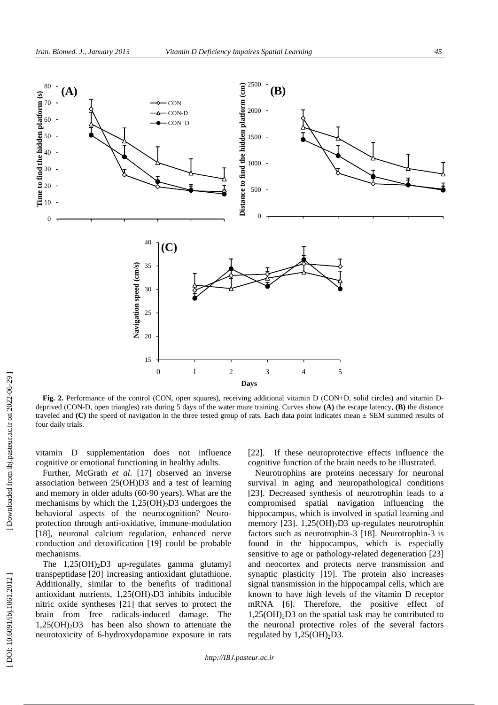

**Fig. 2.** Performance of the control (CON, open squares), receiving additional vitamin D (CON+D, solid circles) and vitamin Ddeprived (CON-D, open triangles) rats during 5 days of the water maze training. Curves show **(A)** the escape latency, **(B)** the distance traveled and **(C)** the speed of navigation in the three tested group of rats. Each data point indicates mean ± SEM summed results of four daily trials.

vitamin D supplementation does not influence cognitive or emotional functioning in healthy adults.

Further, McGrath *et al.* [17] observed an inverse association between 25(OH)D3 and a test of learning and memory in older adults (60-90 years). What are the mechanisms by which the 1,25(OH) 2D3 undergoes the behavioral aspects of the neurocognition? Neuroprotection through anti-oxidative, immune-modulation [18], neuronal calcium regulation, enhanced nerve conduction and detoxification [19] could be probable mechanisms.

The 1,25(OH) 2D3 up-regulates gamma glutamyl transpeptidase [20] increasing antioxidant glutathione. Additionally, similar to the benefits of traditional antioxidant nutrients, 1,25(OH) 2D3 inhibits inducible nitric oxide syntheses [21] that serves to protect the brain from free radicals-induced damage. The 1,25(OH) 2D3 has been also shown to attenuate the neurotoxicity of 6-hydroxydopamine exposure in rats

[22]. If these neuroprotective effects influence the cognitive function of the brain needs to be illustrated.

Neurotrophins are proteins necessary for neuronal survival in aging and neuropathological conditions [23]. Decreased synthesis of neurotrophin leads to a compromised spatial navigation influencing the hippocampus, which is involved in spatial learning and memory [23]. 1,25(OH)<sub>2</sub>D3 up-regulates neurotrophin factors such as neurotrophin-3 [18]. Neurotrophin-3 is found in the hippocampus, which is especially sensitive to age or pathology-related degeneration [23] and neocortex and protects nerve transmission and synaptic plasticity [19]. The protein also increases signal transmission in the hippocampal cells, which are known to have high levels of the vitamin D receptor mRNA [6]. Therefore, the positive effect of 1,25(OH) 2D3 on the spatial task may be contributed to the neuronal protective roles of the several factors regulated by  $1,25(OH)_2D3$ .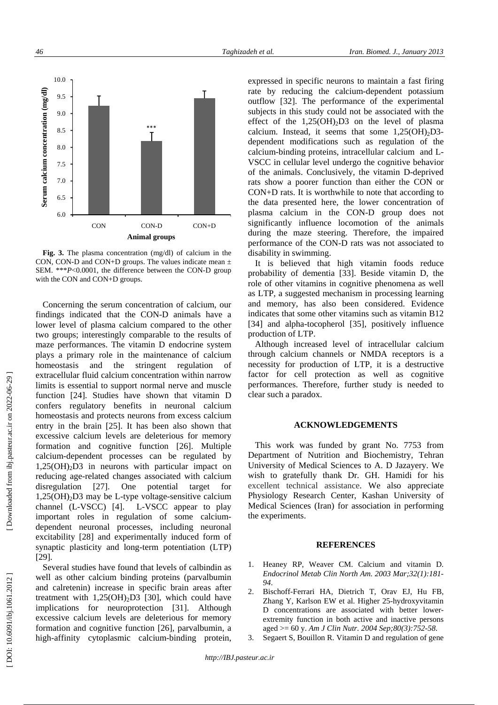

**Fig. 3.** The plasma concentration (mg/dl) of calcium in the CON, CON-D and CON+D groups. The values indicate mean  $\pm$ SEM. \*\*\* *P*<0.0001, the difference between the CON-D group with the CON and CON+D groups.

Concerning the serum concentration of calcium, our findings indicated that the CON-D animals have a lower level of plasma calcium compared to the other two groups; interestingly comparable to the results of maze performances. The vitamin D endocrine system plays a primary role in the maintenance of calcium homeostasis and the stringent regulation of extracellular fluid calcium concentration within narrow limits is essential to support normal nerve and muscle function [24]. Studies have shown that vitamin D confers regulatory benefits in neuronal calcium homeostasis and protects neurons from excess calcium entry in the brain [25]. It has been also shown that excessive calcium levels are deleterious for memory formation and cognitive function [26]. Multiple calcium-dependent processes can be regulated by 1,25(OH) 2D3 in neurons with particular impact on reducing age-related changes associated with calcium disregulation [27]. One potential target for 1,25(OH) 2D3 may be L-type voltage-sensitive calcium channel (L-VSCC) [4]. L-VSCC appear to play important roles in regulation of some calciumdependent neuronal processes, including neuronal excitability [28] and experimentally induced form of synaptic plasticity and long-term potentiation (LTP) [29].

Several studies have found that levels of calbindin as well as other calcium binding proteins (parvalbumin and calretenin) increase in specific brain areas after treatment with  $1,25(OH)_2D3$  [30], which could have implications for neuroprotection [31]. Although excessive calcium levels are deleterious for memory formation and cognitive function [26], parvalbumin, a high-affinity cytoplasmic calcium-binding protein,

expressed in specific neurons to maintain a fast firing rate by reducing the calcium-dependent potassium outflow [32]. The performance of the experimental subjects in this study could not be associated with the effect of the  $1,25(OH)_2D3$  on the level of plasma calcium. Instead, it seems that some  $1,25(OH)_2D3$ dependent modifications such as regulation of the calcium-binding proteins, intracellular calcium and L-VSCC in cellular level undergo the cognitive behavior of the animals. Conclusively, the vitamin D-deprived rats show a poorer function than either the CON or CON+D rats. It is worthwhile to note that according to the data presented here, the lower concentration of plasma calcium in the CON-D group does not significantly influence locomotion of the animals during the maze steering. Therefore, the impaired performance of the CON-D rats was not associated to disability in swimming.

It is believed that high vitamin foods reduce probability of dementia [33]. Beside vitamin D, the role of other vitamins in cognitive phenomena as well as LTP, a suggested mechanism in processing learning and memory, has also been considered. Evidence indicates that some other vitamins such as vitamin B12 [34] and alpha-tocopherol [35], positively influence production of LTP.

Although increased level of intracellular calcium through calcium channels or NMDA receptors is a necessity for production of LTP, it is a destructive factor for cell protection as well as cognitive performances. Therefore, further study is needed to clear such a paradox.

### **ACKNOWLEDGEMENTS**

This work was funded by grant No. 7753 from Department of Nutrition and Biochemistry, Tehran University of Medical Sciences to A. D Jazayery. We wish to gratefully thank Dr. GH. Hamidi for his excellent technical assistance. We also appreciate Physiology Research Center, Kashan University of Medical Sciences (Iran) for association in performing the experiments.

#### **REFERENCES**

- 1. Heaney RP, Weaver CM. Calcium and vitamin D. *Endocrinol Metab Clin North Am. 2003 Mar;32(1):181- 94*.
- 2. Bischoff-Ferrari HA, Dietrich T, Orav EJ, Hu FB, Zhang Y, Karlson EW et al. Higher 25-hydroxyvitamin D concentrations are associated with better lowerextremity function in both active and inactive persons aged >= 60 y. *Am J Clin Nutr. 2004 Sep;80(3):752-58*.
- 3. Segaert S, Bouillon R. Vitamin D and regulation of gene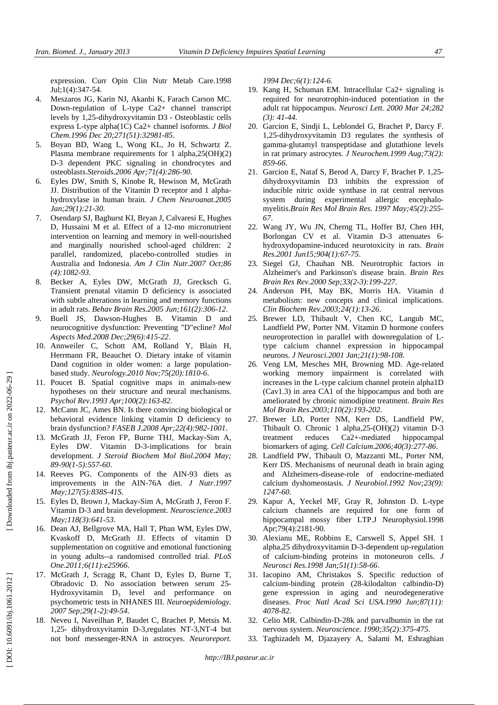expression. Curr Opin Clin Nutr Metab Care.1998 Jul;1(4):347-54.

- 4. Meszaros JG, Karin NJ, Akanbi K, Farach Carson MC. Down-regulation of L-type Ca2+ channel transcript levels by 1,25-dihydroxyvitamin D3 - Osteoblastic cells express L-type alpha(1C) Ca2+ channel isoforms. *J Biol Chem.1996 Dec 20;271(51):32981-85*.
- 5. Boyan BD, Wang L, Wong KL, Jo H, Schwartz Z. Plasma membrane requirements for 1 alpha,25(OH)(2) D-3 dependent PKC signaling in chondrocytes and osteoblasts.*Steroids.2006 Apr;71(4):286-90*.
- 6. Eyles DW, Smith S, Kinobe R, Hewison M, McGrath JJ. Distribution of the Vitamin D receptor and 1 alphahydroxylase in human brain. *J Chem Neuroanat.2005 Jan;29(1):21-30*.
- 7. Osendarp SJ, Baghurst KI, Bryan J, Calvaresi E, Hughes D, Hussaini M et al. Effect of a 12-mo micronutrient intervention on learning and memory in well-nourished and marginally nourished school-aged children: 2 parallel, randomized, placebo-controlled studies in Australia and Indonesia. *Am J Clin Nutr.2007 Oct;86 (4):1082-93*.
- 8. Becker A, Eyles DW, McGrath JJ, Grecksch G. Transient prenatal vitamin D deficiency is associated with subtle alterations in learning and memory functions in adult rats. *Behav Brain Res.2005 Jun;161(2):306-12*.
- 9. Buell JS, Dawson-Hughes B. Vitamin D and neurocognitive dysfunction: Preventing "D"ecline? *Mol Aspects Med.2008 Dec;29(6):415-22*.
- 10. Annweiler C, Schott AM, Rolland Y, Blain H, Herrmann FR, Beauchet O. Dietary intake of vitamin Dand cognition in older women: a large populationbased study. *Neurology.2010 Nov;75(20):1810-6*.
- 11. Poucet B. Spatial cognitive maps in animals-new hypotheses on their structure and neural mechanisms. *Psychol Rev.1993 Apr;100(2):163-82*.
- 12. McCann JC, Ames BN. Is there convincing biological or behavioral evidence linking vitamin D deficiency to brain dysfunction? *FASEB J.2008 Apr;22(4):982-1001*.
- 13. McGrath JJ, Feron FP, Burne THJ, Mackay-Sim A, Eyles DW. Vitamin D-3-implications for brain development. *J Steroid Biochem Mol Biol.2004 May; 89-90(1-5):557-60*.
- 14. Reeves PG. Components of the AIN-93 diets as improvements in the AIN-76A diet. *J Nutr.1997 May;127(5):838S-41S*.
- 15. Eyles D, Brown J, Mackay-Sim A, McGrath J, Feron F. Vitamin D-3 and brain development. *Neuroscience.2003 May;118(3):641-53*.
- 16. Dean AJ, Bellgrove MA, Hall T, Phan WM, Eyles DW, Kvaskoff D, McGrath JJ. Effects of vitamin D supplementation on cognitive and emotional functioning in young adults--a randomised controlled trial. *PLoS One.2011;6(11):e25966*.
- 17. McGrath J, Scragg R, Chant D, Eyles D, Burne T, Obradovic D. No association between serum 25- Hydroxyvitamin D 3 level and performance on psychometric tests in NHANES III. *Neuroepidemiology. 2007 Sep;29(1-2):49-54*.
- 18. Neveu I, Naveilhan P, Baudet C, Brachet P, Metsis M. 1,25- dihydroxyvitamin D-3,regulates NT-3,NT-4 but not bonf messenger-RNA in astrocyes. *Neuroreport.*

*1994 Dec;6(1):124-6*.

- 19. Kang H, Schuman EM. Intracellular Ca2+ signaling is required for neurotrophin-induced potentiation in the adult rat hippocampus. *Neurosci Lett. 2000 Mar 24;282 (3): 41-44*.
- 20. Garcion E, Sindji L, Leblondel G, Brachet P, Darcy F. 1,25-dihydroxyvitamin D3 regulates the synthesis of gamma-glutamyl transpeptidase and glutathione levels in rat primary astrocytes. *J Neurochem.1999 Aug;73(2): 859-66*.
- 21. Garcion E, Nataf S, Berod A, Darcy F, Brachet P. 1,25 dihydroxyvitamin D3 inhibits the expression of inducible nitric oxide synthase in rat central nervous system during experimental allergic encephalomyelitis.*Brain Res Mol Brain Res. 1997 May;45(2):255- 67*.
- 22. Wang JY, Wu JN, Cherng TL, Hoffer BJ, Chen HH, Borlongan CV et al. Vitamin D-3 attenuates 6 hydroxydopamine-induced neurotoxicity in rats. *Brain Res.2001 Jun15;904(1):67-75*.
- 23. Siegel GJ, Chauhan NB. Neurotrophic factors in Alzheimer's and Parkinson's disease brain. *Brain Res Brain Res Rev.2000 Sep;33(2-3):199-227*.
- 24. Anderson PH, May BK, Morris HA. Vitamin d metabolism: new concepts and clinical implications. *Clin Biochem Rev.2003;24(1):13-26*.
- 25. Brewer LD, Thibault V, Chen KC, Langub MC, Landfield PW, Porter NM. Vitamin D hormone confers neuroprotection in parallel with downregulation of Ltype calcium channel expression in hippocampal neurons. *J Neurosci.2001 Jan;21(1):98-108*.
- 26. Veng LM, Mesches MH, Browning MD. Age-related working memory impairment is correlated with increases in the L-type calcium channel protein alpha1D (Cav1.3) in area CA1 of the hippocampus and both are ameliorated by chronic nimodipine treatment. *Brain Res Mol Brain Res.2003;110(2):193-202*.
- 27. Brewer LD, Porter NM, Kerr DS, Landfield PW, Thibault O. Chronic 1 alpha,25-(OH)(2) vitamin D-3 treatment reduces Ca2+-mediated hippocampal biomarkers of aging. *Cell Calcium.2006;40(3):277-86*.
- 28. Landfield PW, Thibault O, Mazzanti ML, Porter NM, Kerr DS. Mechanisms of neuronal death in brain aging and Alzheimers-disease-role of endocrine-mediated calcium dyshomeostasis. *J Neurobiol.1992 Nov;23(9): 1247-60*.
- 29. Kapur A, Yeckel MF, Gray R, Johnston D. L-type calcium channels are required for one form of hippocampal mossy fiber LTP.J Neurophysiol.1998 Apr;79(4):2181-90.
- 30. Alexianu ME, Robbins E, Carswell S, Appel SH. 1 alpha,25 dihydroxyvitamin D-3-dependent up-regulation of calcium-binding proteins in motoneuron cells. *J Neurosci Res.1998 Jan;51(1):58-66*.
- 31. Iacopino AM, Christakos S. Specific reduction of calcium-binding protein (28-kilodalton calbindin-D) gene expression in aging and neurodegenerative diseases. *Proc Natl Acad Sci USA.1990 Jun;87(11): 4078-82*.
- 32. Celio MR. Calbindin-D-28k and parvalbumin in the rat nervous system. *Neuroscience. 1990;35(2):375-475*.
- 33. Taghizadeh M, Djazayery A, Salami M, Eshraghian